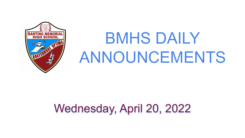

# BMHS DAILY ANNOUNCEMENTS

# Wednesday, April 20, 2022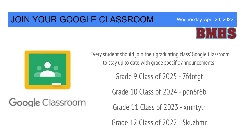### JOIN YOUR GOOGLE CLASSROOM





Google Classroom

Every student should join their graduating class' Google Classroom to stay up to date with grade specific announcements!

Grade 9 Class of 2025 - 7fdotgt

Grade 10 Class of 2024 - pqn6r6b

Grade 11 Class of 2023 - xmntytr

Grade 12 Class of 2022 - 5kuzhmr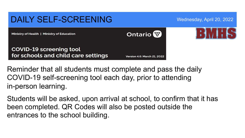

Reminder that all students must complete and pass the daily COVID-19 self-screening tool each day, prior to attending in-person learning.

Students will be asked, upon arrival at school, to confirm that it has been completed. QR Codes will also be posted outside the entrances to the school building.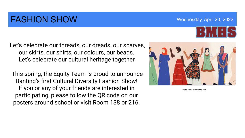### FASHION SHOW WEDGE THE MOVIE WEDGE WEDGESDAY April 20, 2022

Let's celebrate our threads, our dreads, our scarves, our skirts, our shirts, our colours, our beads. Let's celebrate our cultural heritage together.

 This spring, the Equity Team is proud to announce Banting's first Cultural Diversity Fashion Show! If you or any of your friends are interested in participating, please follow the QR code on our posters around school or visit Room 138 or 216.



Photo credit:eventbrite.com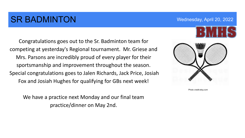# **SR BADMINTON** Wednesday, April 20, 2022

Congratulations goes out to the Sr. Badminton team for competing at yesterday's Regional tournament. Mr. Griese and Mrs. Parsons are incredibly proud of every player for their sportsmanship and improvement throughout the season. Special congratulations goes to Jalen Richards, Jack Price, Josiah Fox and Josiah Hughes for qualifying for GBs next week!

We have a practice next Monday and our final team practice/dinner on May 2nd.





Photo credit:etsy.com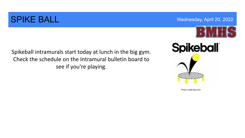### SPIKE BALL Wednesday, April 20, 2022

Spikeball intramurals start today at lunch in the big gym. Check the schedule on the Intramural bulletin board to see if you're playing.



Photo credit:etsy.com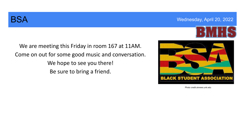

#### **BSA** Wednesday, April 20, 2022



We are meeting this Friday in room 167 at 11AM. Come on out for some good music and conversation. We hope to see you there!

Be sure to bring a friend.



Photo credit:uknews.unk.edu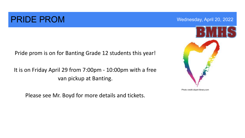#### **PRIDE PROM** Wednesday, April 20, 2022

Pride prom is on for Banting Grade 12 students this year!

It is on Friday April 29 from 7:00pm - 10:00pm with a free van pickup at Banting.

Please see Mr. Boyd for more details and tickets.

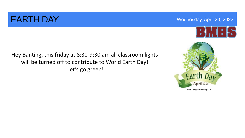### EARTH DAY Wednesday, April 20, 2022





Hey Banting, this friday at 8:30-9:30 am all classroom lights will be turned off to contribute to World Earth Day! Let's go green!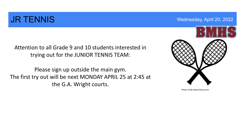### **JR TENNIS** Wednesday, April 20, 2022

Attention to all Grade 9 and 10 students interested in trying out for the JUNIOR TENNIS TEAM:

Please sign up outside the main gym. The first try out will be next MONDAY APRIL 25 at 2:45 at the G.A. Wright courts.

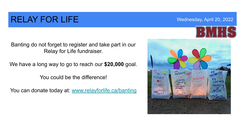# RELAY FOR LIFE WEDGE Wednesday, April 20, 2022

Banting do not forget to register and take part in our Relay for Life fundraiser.

We have a long way to go to reach our **\$20,000** goal.

You could be the difference!

You can donate today at: [www.relayforlife.ca/banting](http://www.relayforlife.ca/banting)

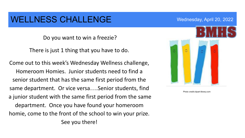#### WELLNESS CHALLENGE WEDGE Wednesday, April 20, 2022

Do you want to win a freezie?

There is just 1 thing that you have to do.

Come out to this week's Wednesday Wellness challenge, Homeroom Homies. Junior students need to find a senior student that has the same first period from the same department. Or vice versa….Senior students, find a junior student with the same first period from the same department. Once you have found your homeroom homie, come to the front of the school to win your prize. See you there!

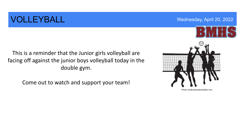# VOLLEYBALL Wednesday, April 20, 2022



This is a reminder that the Junior girls volleyball are facing off against the junior boys volleyball today in the double gym.

Come out to watch and support your team!

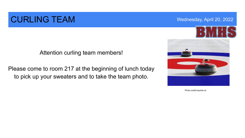### CURLING TEAM Wednesday, April 20, 2022



#### Attention curling team members!

Please come to room 217 at the beginning of lunch today to pick up your sweaters and to take the team photo.



Photo credit:inquinte.ca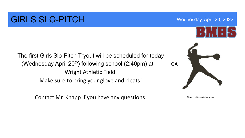### GIRLS SLO-PITCH Wednesday, April 20, 2022

The first Girls Slo-Pitch Tryout will be scheduled for today (Wednesday April  $20<sup>th</sup>$ ) following school (2:40pm) at GA Wright Athletic Field. Make sure to bring your glove and cleats!

Contact Mr. Knapp if you have any questions.

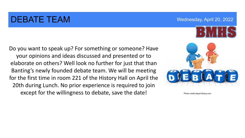### DEBATE TEAM Wednesday, April 20, 2022

#### Do you want to speak up? For something or someone? Have your opinions and ideas discussed and presented or to elaborate on others? Well look no further for just that than Banting's newly founded debate team. We will be meeting for the first time in room 221 of the History Hall on April the 20th during Lunch. No prior experience is required to join except for the willingness to debate, save the date!

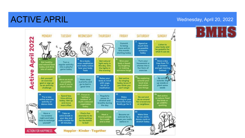# ACTIVE APRIL Wednesday, April 20, 2022